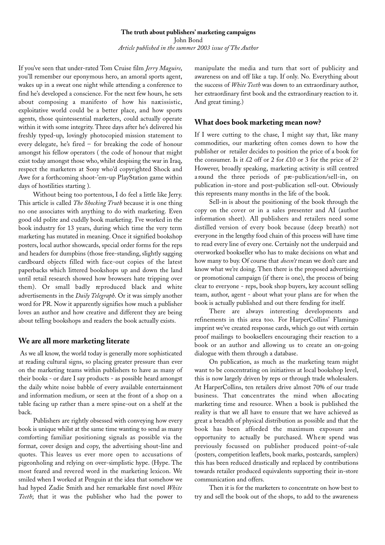### **The truth about publishers' marketing campaigns** John Bond *Article published in the summer 2003 issue of The Author*

If you've seen that under-rated Tom Cruise film *Jerry Maguire*, you'll remember our eponymous hero, an amoral sports agent, wakes up in a sweat one night while attending a conference to find he's developed a conscience. For the next few hours, he sets about composing a manifesto of how his narcissistic, exploitative world could be a better place, and how sports agents, those quintessential marketers, could actually operate within it with some integrity. Three days after he's delivered his freshly typed-up, lovingly photocopied mission statement to every delegate, he's fired – for breaking the code of honour amongst his fellow operators ( the code of honour that might exist today amongst those who, whilst despising the war in Iraq, respect the marketers at Sony who'd copyrighted Shock and Awe for a forthcoming shoot-'em-up PlayStation game within days of hostilities starting ).

Without being too portentous, I do feel a little like Jerry. This article is called *The Shocking Truth* because it is one thing no one associates with anything to do with marketing. Even good old polite and cuddly book marketing. I've worked in the book industry for 13 years, during which time the very term marketing has mutated in meaning. Once it signified bookshop posters, local author showcards, special order forms for the reps and headers for dumpbins (those free-standing, slightly sagging cardboard objects filled with face-out copies of the latest paperbacks which littered bookshops up and down the land until retail research showed how browsers hate tripping over them). Or small badly reproduced black and white advertisements in the *Daily Telegraph*. Or it was simply another word for PR. Now it apparently signifies how much a publisher loves an author and how creative and different they are being about telling bookshops and readers the book actually exists.

### **We are all more marketing literate**

As we all know, the world today is generally more sophisticated at reading cultural signs, so placing greater pressure than ever on the marketing teams within publishers to have as many of their books - or dare I say products - as possible heard amongst the daily white noise babble of every available entertainment and information medium, or seen at the front of a shop on a table facing up rather than a mere spine-out on a shelf at the back.

Publishers are rightly obsessed with conveying how every book is unique whilst at the same time wanting to send as many comforting familiar positioning signals as possible via the format, cover design and copy, the advertising shout-line and quotes. This leaves us ever more open to accusations of pigeonholing and relying on over-simplistic hype. (Hype. The most feared and revered word in the marketing lexicon. We smiled when I worked at Penguin at the idea that somehow we had hyped Zadie Smith and her remarkable first novel *White* Teeth; that it was the publisher who had the power to

manipulate the media and turn that sort of publicity and awareness on and off like a tap. If only. No. Everything about the success of *White Teeth* was down to an extraordinary author, her extraordinary first book and the extraordinary reaction to it. And great timing.)

# **What does book marketing mean now?**

If I were cutting to the chase, I might say that, like many commodities, our marketing often comes down to how the publisher or retailer decides to position the price of a book for the consumer. Is it  $\&2$  off or 2 for  $\&10$  or 3 for the price of 2? However, broadly speaking, marketing activity is still centred a round the three periods of pre-publication/sell-in, on publication in-store and post-publication sell-out. Obviously this represents many months in the life of the book.

Sell-in is about the positioning of the book through the copy on the cover or in a sales presenter and AI (author information sheet). All publishers and retailers need some distilled version of every book because (deep breath) not everyone in the lengthy food chain of this process will have time to read every line of every one. Certainly not the underpaid and overworked bookseller who has to make decisions on what and how many to buy. Of course that *doesn't* mean we don't care and know what we're doing. Then there is the proposed advertising or promotional campaign (if there is one), the process of being clear to everyone - reps, book shop buyers, key account selling team, author, agent - about what your plans are for when the book is actually published and out there fending for itself.

There are always interesting developments and refinements in this area too. For HarperCollins' Flamingo imprint we've created response cards, which go out with certain proof mailings to booksellers encouraging their reaction to a book or an author and allowing us to create an on-going dialogue with them through a database.

On publication, as much as the marketing team might want to be concentrating on initiatives at local bookshop level, this is now largely driven by reps or through trade wholesalers. At HarperCollins, ten retailers drive almost 70% of our trade business. That concentrates the mind when allocating marketing time and resource. When a book is published the reality is that we all have to ensure that we have achieved as great a breadth of physical distribution as possible and that the book has been afforded the maximum exposure and opportunity to actually be purchased. Where spend was previously focussed on publisher produced point-of-sale (posters, competition leaflets, book marks, postcards, samplers) this has been reduced drastically and replaced by contributions towards retailer produced equivalents supporting their in-store communication and offers.

Then it is for the marketers to concentrate on how best to try and sell the book out of the shops, to add to the awareness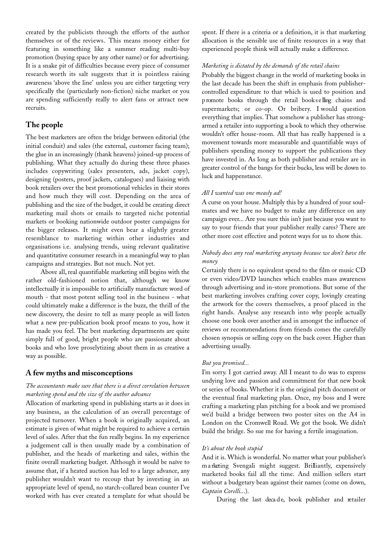created by the publicists through the efforts of the author themselves or of the reviews. This means money either for featuring in something like a summer reading multi-buy promotion (buying space by any other name) or for advertising. It is a snake pit of difficulties because every piece of consumer research worth its salt suggests that it is pointless raising awareness 'above the line' unless you are either targeting very specifically the (particularly non-fiction) niche market or you are spending sufficiently really to alert fans or attract new recruits.

# **The people**

The best marketers are often the bridge between editorial (the initial conduit) and sales (the external, customer facing team); the glue in an increasingly (thank heavens) joined-up process of publishing. What they actually do during these three phases includes copywriting (sales presenters, ads, jacket copy), designing (posters, proof jackets, catalogues) and liaising with book retailers over the best promotional vehicles in their stores and how much they will cost. Depending on the area of publishing and the size of the budget, it could be creating direct marketing mail shots or emails to targeted niche potential markets or booking nationwide outdoor poster campaigns for the bigger releases. It might even bear a slightly greater resemblance to marketing within other industries and organisations i.e. analysing trends, using relevant qualitative and quantitative consumer research in a meaningful way to plan campaigns and strategies. But not much. Not yet.

Above all, real quantifiable marketing still begins with the rather old-fashioned notion that, although we know intellectually it is impossible to artificially manufacture word of mouth - that most potent selling tool in the business - what could ultimately make a difference is the buzz, the thrill of the new discovery, the desire to tell as many people as will listen what a new pre-publication book proof means to you, how it has made you feel. The best marketing departments are quite simply full of good, bright people who are passionate about books and who love proselytizing about them in as creative a way as possible.

# **A few myths and misconceptions**

## *The accountants make sure that there is a direct correlation between marketing spend and the size of the author advance*

Allocation of marketing spend in publishing starts as it does in any business, as the calculation of an overall percentage of projected turnover. When a book is originally acquired, an estimate is given of what might be required to achieve a certain level of sales. After that the fun really begins. In my experience a judgement call is then usually made by a combination of publisher, and the heads of marketing and sales, within the finite overall marketing budget. Although it would be naïve to assume that, if a heated auction has led to a large advance, any publisher wouldn't want to recoup that by investing in an appropriate level of spend, no starch-collared bean counter I've worked with has ever created a template for what should be

spent. If there is a criteria or a definition, it is that marketing allocation is the sensible use of finite resources in a way that experienced people think will actually make a difference.

### *Marketing is dictated by the demands of the retail chains*

Probably the biggest change in the world of marketing books in the last decade has been the shift in emphasis from publishercontrolled expenditure to that which is used to position and promote books through the retail books elling chains and supermarkets; or co-op. Or bribery. I would question everything that implies. That somehow a publisher has strongarmed a retailer into supporting a book to which they otherwise wouldn't offer house-room. All that has really happened is a movement towards more measurable and quantifiable ways of publishers spending money to support the publications they have invested in. As long as both publisher and retailer are in greater control of the bangs for their bucks, less will be down to luck and happenstance.

#### *All I wanted was one measly ad!*

A curse on your house. Multiply this by a hundred of your soulmates and we have no budget to make any difference on any campaign ever... Are you sure this isn't just because you want to say to your friends that your publisher really cares? There are other more cost effective and potent ways for us to show this.

### *Nobody does any real marketing anyway because we don't have the money*

Certainly there is no equivalent spend to the film or music CD or even video/DVD launches which enables mass awareness through advertising and in-store promotions. But some of the best marketing involves crafting cover copy, lovingly creating the artwork for the covers themselves, a proof placed in the right hands. Analyse any research into why people actually choose one book over another and in amongst the influence of reviews or recommendations from friends comes the carefully chosen synopsis or selling copy on the back cover. Higher than advertising usually.

### *But you promised...*

I'm sorry. I got carried away. All I meant to do was to express undying love and passion and commitment for that new book or series of books. Whether it is the original pitch document or the eventual final marketing plan. Once, my boss and I were crafting a marketing plan pitching for a book and we promised we'd build a bridge between two poster sites on the A4 in London on the Cromwell Road. We got the book. We didn't build the bridge. So sue me for having a fertile imagination.

#### *It's about the book stupid*

And it is. Which is wonderful. No matter what your publisher's m a rketing Svengali might suggest. Brilliantly, expensively marketed books fail all the time. And million sellers start without a budgetary bean against their names (come on down, *Captain Corelli*...).

During the last decade, book publisher and retailer